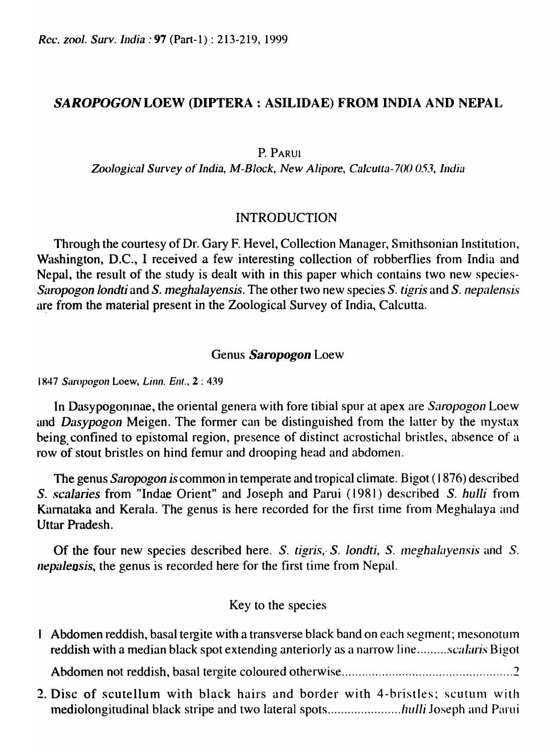*Rcc. zool. Surv. India:* **97** (Part-1): 213-219, 1999

### SAROPOGON LOEW (DIPTERA: ASILIDAE) FROM INDIA AND NEPAL

P. PARUI

*Zoological Survey* of *India, M-Block, New Alipore, Calcutta-700 053, India* 

### INTRODUCTION

Through the courtesy of Dr. Gary F. Hevel, Collection Manager, Smithsonian Institution, Washington, D.C., I received a few interesting collection of robberflies from India and Nepal, the result of the study is dealt with in this paper which contains two new species-*S"ropogon londti* and *S. meghalayensis.* The other two new species S. *tigris* and *S.nepaJensis*  are from the material present in the Zoological Survey of India, Calcutta.

#### Genus *Saropogon* Loew

1847 *Saropogon Loew, Linn. Ent., 2: 439* 

In Dasypogoninae, the oriental genera with fore tibial spur at apex are *SnropogonLoew*  and *Dasypogon* Meigen. The former can be distinguished from the latter by the mystax being. confined to epistomal region, presence of distinct acrostichal bristles, absence of a row of stout bristles on hind femur and drooping head and abdomen.

The genus *Saropogon is* common in temperate and tropical climate. Bigot (1876) described S. *scalaries* from "Indae Orient" and Joseph and Parui (1981) described *S. hulli* from Karnataka and Kerala. The genus is here recorded for the first time from Meghalaya and Uttar Pradesh.

Of the four new species described here. *S. tigris, S. londti, S. meghalayensis* and *S. nepalensis*, the genus is recorded here for the first time from Nepal.

### Key to the species

| 1 Abdomen reddish, basal tergite with a transverse black band on each segment; mesonotum<br>reddish with a median black spot extending anteriorly as a narrow linescalaris Bigot |
|----------------------------------------------------------------------------------------------------------------------------------------------------------------------------------|
|                                                                                                                                                                                  |
| 2. Disc of scutellum with black hairs and border with 4-bristles; scutum with                                                                                                    |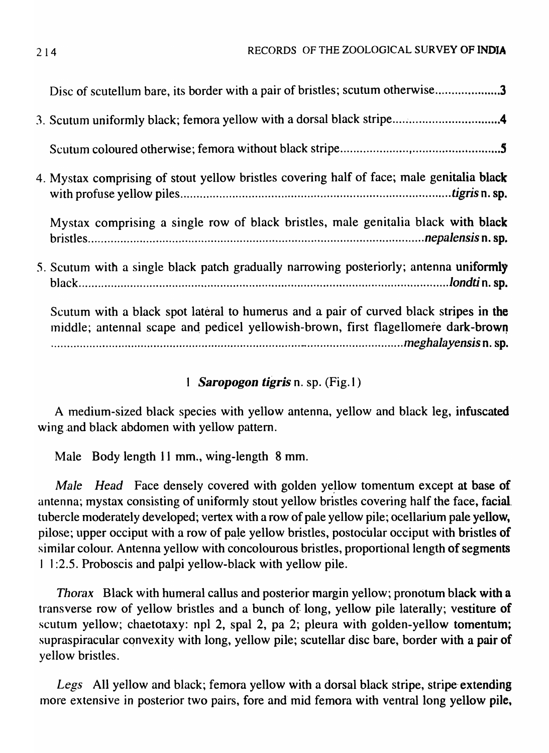| Disc of scutellum bare, its border with a pair of bristles; scutum otherwise3                                                                                              |
|----------------------------------------------------------------------------------------------------------------------------------------------------------------------------|
|                                                                                                                                                                            |
|                                                                                                                                                                            |
| 4. Mystax comprising of stout yellow bristles covering half of face; male genitalia black                                                                                  |
| Mystax comprising a single row of black bristles, male genitalia black with black                                                                                          |
| 5. Scutum with a single black patch gradually narrowing posteriorly; antenna uniformly                                                                                     |
| Scutum with a black spot lateral to humerus and a pair of curved black stripes in the<br>middle; antennal scape and pedicel yellowish-brown, first flagellomere dark-brown |

# 1 **Saropogon tigris** n. sp. (Fig. 1)

A medium-sized black species with yellow antenna, yellow and black leg, infuscated wing and black abdomen with yellow pattern.

Male Body length 11 mm., wing-length 8 mm.

*Male Head* Face densely covered with golden yellow tomentum except at base of antenna; mystax consisting of uniformly stout yellow bristles covering half the face, facial tubercle moderately developed; vertex with a row of pale yellow pile; ocellarium pale yellow, pilose; upper occiput with a row of pale yellow bristles, postocular occiput with bristles of similar colour. Antenna yellow with concolourous bristles, proportional length of segments I I :2.5. Proboscis and palpi yellow-black with yellow pile.

*Thorax* Black with humeral callus and posterior margin yellow; pronotum black with a transverse row of yellow bristles and a bunch of long, yellow pile laterally; vestiture of scutum yellow; chaetotaxy: npl 2, spal 2, pa 2; pleura with golden-yellow tomentum; supraspiracular convexity with long, yellow pile; scutellar disc bare, border with a pair of yellow bristles.

Legs All yellow and black; femora yellow with a dorsal black stripe, stripe extending more extensive in posterior two pairs, fore and mid femora with ventral long yellow pile,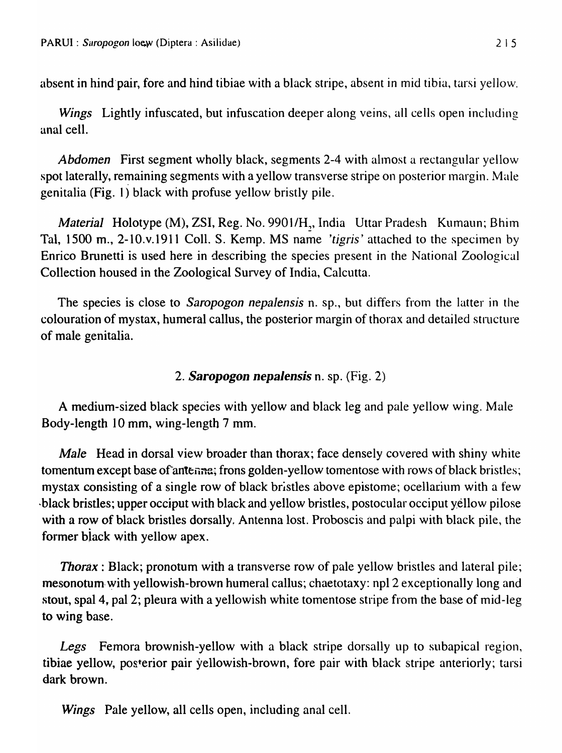absent in hind'pair, fore and hind tibiae with a black stripe, absent in mid tibia, tarsi yellow.

*Wings* Lightly infuscated, but infuscation deeper along veins, all cells open including anal cell.

*Abdomen* First segment wholly black, segments 2-4 with almost a rectangular yellow spot laterally, remaining segments with a yellow transverse stripe on posterior margin. Male genitalia (Fig. I) black with profuse yellow bristly pile.

*Material* Holotype (M), ZSI, Reg. No. 9901/H<sub>2</sub>, India Uttar Pradesh Kumaun; Bhim Tal, 1500 m., 2-10.v.1911 Coll. S. Kemp. MS name *'tigris'* attached to the specimen by Enrico Brunetti is used here in describing the species present in the National Zoological Collection housed in the Zoological Survey of India, Calcutta.

The species is close to *Saropogon nepalensis* n. sp., but differs from the latter in the colouration of mystax, humeral callus, the posterior margin of thorax and detailed structure of male genitalia.

# *2. Saropogon nepalensis* n. sp. (Fig. 2)

A medium-sized black species with yellow and black leg and pale yellow wing. Male Body-length 10 mm, wing-length 7 mm.

*Male* Head in dorsal view broader than thorax; face densely covered with shiny white tomentum except base of antenne; frons golden-yellow tomentose with rows of black bristles; mystax consisting of a single row of black bristles above epistome; ocellarium with a few -black bristles; upper occiput with black and.yellow bristles, postocular occiput yellow pilose with a row of black bristles dorsally. Antenna lost. Proboscis and palpi with black pile, the former biack with yellow apex.

*Thorax*: Black; pronotum with a transverse row of pale yellow bristles and lateral pile; mesonotum with yellowish-brown humeral callus; chaetotaxy: npl 2 exceptionally long and stout, spal4, pal 2; pleura with a yellowish white tomentose stripe from the base of mid-leg to wing base.

Legs Femora brownish-yellow with a black stripe dorsally up to subapical region, tibiae yellow, posterior pair yellowish-brown, fore pair with black stripe anteriorly; tarsi dark brown.

*Wings* Pale yellow, all cells open, including anal cell.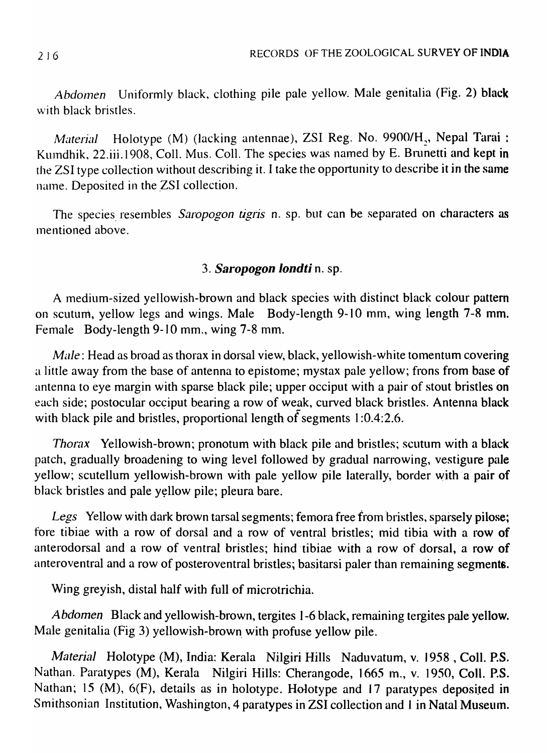Abdomen Uniformly black, clothing pile pale yellow. Male genitalia (Fig. 2) black with black bristles.

*Material* **Holotype** (M) (lacking antennae), ZSI Reg. No. 9900/H<sub>2</sub>, Nepal Tarai : Kumdhik, 22.iii.1908, Coll. Mus. Coll. The species was named by E. Brunetti and kept in the ZSI type collection without describing it. I take the opportunity to describe it in the same name. Deposited in the ZSI collection.

The species. resembles *Saropogon tigris* n. sp. but can be separated on characters as mentioned above.

## *3. Saropogon londti* n. sp.

A medium-sized yellowish-brown and black species with distinct black colour pattern on scutum, yellow legs and wings. Male Body-length 9-10 mm, wing length 7-8 mm. Female Body-length 9-10 mm., wing 7-8 mm.

*Male*: Head as broad as thorax in dorsal view, black, yellowish-white tomentum covering a little away from the base of antenna to epistome; mystax pale yellow; frons from base of antenna to eye margin with sparse black pile; upper occiput with a pair of stout bristles on each side; postocular occiput bearing a row of weak, curved black bristles. Antenna black with black pile and bristles, proportional length of segments 1:0.4:2.6.

*Thorax* Yellowish-brown; pronotum with black pile and bristles; scutum with a black patch, gradually broadening to wing level followed by gradual narrowing, vestigure pale yellow; scutellum yellowish-brown with pale yellow pile laterally, border with a pair of black bristles and pale yellow pile; pleura bare.

*Legs* Yellow with dark brown tarsal segments; femora free from bristles, sparsely pilose; fore tibiae with a row of dorsal and a row of ventral bristles; mid tibia with a row of anterodorsal and a row of ventral bristles; hind tibiae with a row of dorsal, a row of anteroventral and a row of posteroventral bristles; basitarsi paler than remaining segments.

Wing greyish, distal half with full of microtrichia.

*Abdomen* Black and yellowish-brown, tergites 1-6 black, remaining tergites pale yellow. Male genitalia (Fig 3) yellowish-brown. with profuse yellow pile.

*Material* Holotype (M), India: Kerala Nilgiri Hills Naduvatum, v. 1958 , Coll. P.S. Nathan. Paratypes (M), Kerala Nilgiri Hills: Cherangode, 1665 m., v. 1950, Coll. P.S. Nathan; 15 (M), 6(F), details as in holotype. Holotype and 17 paratypes deposited in Smithsonian Institution, Washington, 4 paratypes in ZSI collection and 1 in Natal Museum.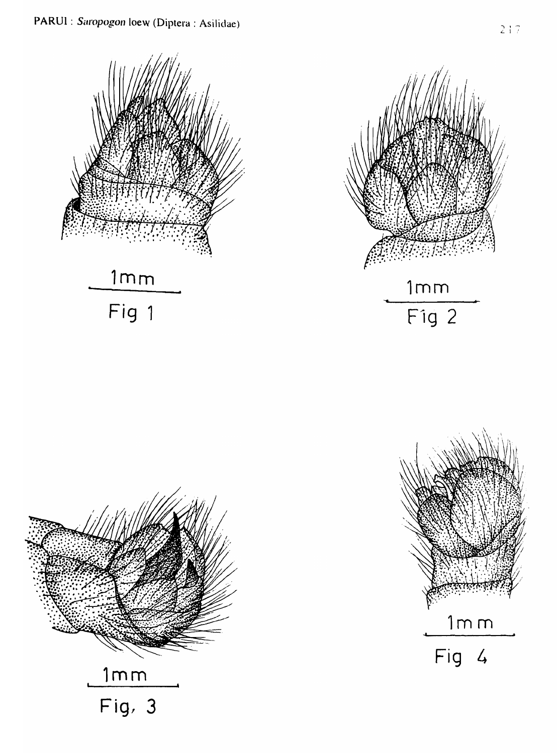





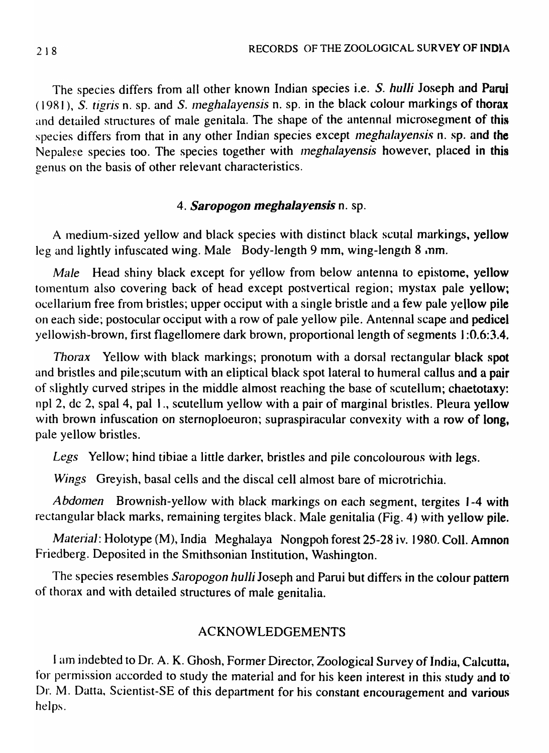The species differs from all other known Indian species i.e. S. hulli Joseph and Parui ( 19R I), S. *tigris* n. sp. and S. *IneghaJayensis* n. sp. in the black colour markings of thorax and detailed structures of male genitala. The shape of the antennal microsegment of this species differs from that in any other Indian species except *meghalayensis* n. sp. and the Nepalese species too. The species together with *meghalayensis* however, placed in this genus on the basis of other relevant characteristics.

#### *4. Saropogon meghaJayensis* n. sp.

A medium-sized yellow and black species with distinct black scutal markings, yellow leg and lightly infuscated wing. Male Body-length 9 mm, wing-length 8 mm.

*Male* Head shiny black except for yellow from below antenna to epistome, yellow tomentum also covering back of head except postvertical region; mystax pale yellow; ocellarium free from bristles; upper occiput with a single bristle and a few pale yellow pile on each side; postocular occiput with a row of pale yellow pile. Antennal scape and pedicel yellowish-brown, first flagellomere dark brown, proportional length of segments 1:0.6:3.4.

*Thorax* Yellow with black markings; pronotum with a dorsal rectangular black spot and bristles and pile;scutum with an eliptical black Spot lateral to humeral callus and a pair of slightly curved stripes in the middle almost reaching the base of scutellum; chaetotaxy: npl 2, dc 2, spal 4, pal I., scutellum yellow with a pair of marginal bristles. Pleura yellow with brown infuscation on sternoploeuron; supraspiracular convexity with a row of long, pale yellow bristles.

*Legs* Yellow; hind tibiae a little darker, bristles and pile concolourous with legs.

*Wings* Greyish, basal cells and the discal cell almost bare of microtrichia.

Abdomen Brownish-yellow with black markings on each segment, tergites 1-4 with rectangular black marks, remaining tergites black. Male genitalia (Fig. 4) with yellow pile.

*Material: Holotype (M), India Meghalaya Nongpoh forest 25-28 iv. 1980. Coll. Amnon* Friedberg. Deposited in the Smithsonian Institution, Washington.

The species resembles *Saropogon* hulli Joseph and Parui but differs in the colour pattern of thorax and with detailed structures of male genitalia.

### ACKNOWLEDGEMENTS

I am indebted to Dr. A. K. Ghosh, Former Director, Zoological Survey of India, Calcutta, for permission accorded to study the material and for his keen interest in this study and to' Dr. M. Datta, Scientist-SE of this department for his constant encouragement and various helps.